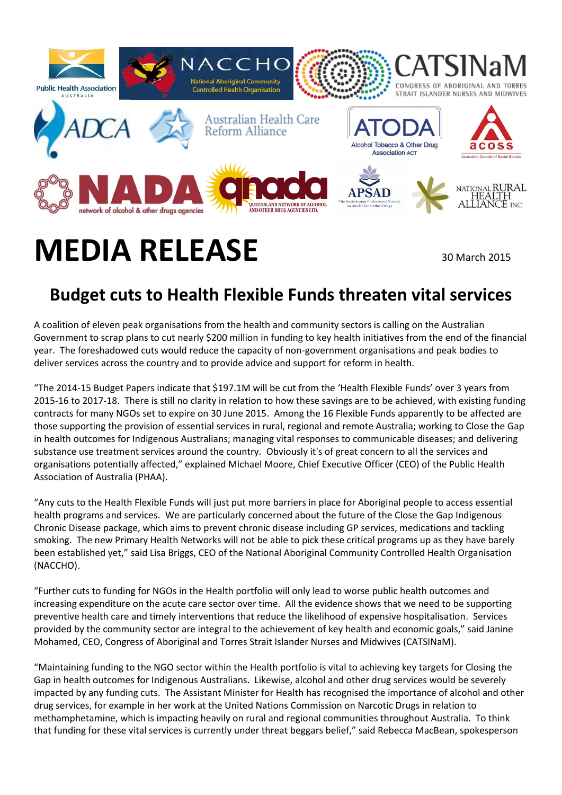

## **MEDIA RELEASE** 30 March 2015

## **Budget cuts to Health Flexible Funds threaten vital services**

A coalition of eleven peak organisations from the health and community sectors is calling on the Australian Government to scrap plans to cut nearly \$200 million in funding to key health initiatives from the end of the financial year. The foreshadowed cuts would reduce the capacity of non-government organisations and peak bodies to deliver services across the country and to provide advice and support for reform in health.

"The 2014-15 Budget Papers indicate that \$197.1M will be cut from the 'Health Flexible Funds' over 3 years from 2015-16 to 2017-18. There is still no clarity in relation to how these savings are to be achieved, with existing funding contracts for many NGOs set to expire on 30 June 2015. Among the 16 Flexible Funds apparently to be affected are those supporting the provision of essential services in rural, regional and remote Australia; working to Close the Gap in health outcomes for Indigenous Australians; managing vital responses to communicable diseases; and delivering substance use treatment services around the country. Obviously it's of great concern to all the services and organisations potentially affected," explained Michael Moore, Chief Executive Officer (CEO) of the Public Health Association of Australia (PHAA).

"Any cuts to the Health Flexible Funds will just put more barriers in place for Aboriginal people to access essential health programs and services. We are particularly concerned about the future of the Close the Gap Indigenous Chronic Disease package, which aims to prevent chronic disease including GP services, medications and tackling smoking. The new Primary Health Networks will not be able to pick these critical programs up as they have barely been established yet," said Lisa Briggs, CEO of the National Aboriginal Community Controlled Health Organisation (NACCHO).

"Further cuts to funding for NGOs in the Health portfolio will only lead to worse public health outcomes and increasing expenditure on the acute care sector over time. All the evidence shows that we need to be supporting preventive health care and timely interventions that reduce the likelihood of expensive hospitalisation. Services provided by the community sector are integral to the achievement of key health and economic goals," said Janine Mohamed, CEO, Congress of Aboriginal and Torres Strait Islander Nurses and Midwives (CATSINaM).

"Maintaining funding to the NGO sector within the Health portfolio is vital to achieving key targets for Closing the Gap in health outcomes for Indigenous Australians. Likewise, alcohol and other drug services would be severely impacted by any funding cuts. The Assistant Minister for Health has recognised the importance of alcohol and other drug services, for example in her work at the United Nations Commission on Narcotic Drugs in relation to methamphetamine, which is impacting heavily on rural and regional communities throughout Australia. To think that funding for these vital services is currently under threat beggars belief," said Rebecca MacBean, spokesperson